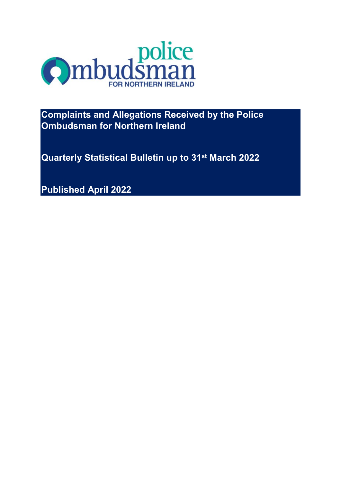

**Complaints and Allegations Received by the Police Ombudsman for Northern Ireland**

**Quarterly Statistical Bulletin up to 31st March 2022**

**Published April 2022**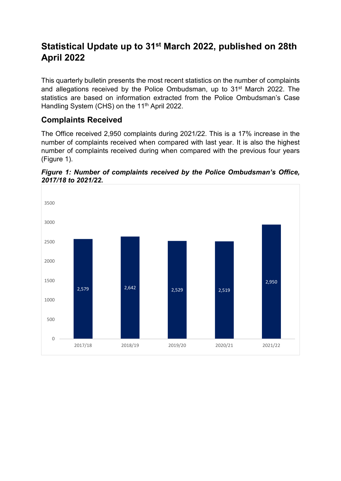# **Statistical Update up to 31st March 2022, published on 28th April 2022**

This quarterly bulletin presents the most recent statistics on the number of complaints and allegations received by the Police Ombudsman, up to 31st March 2022. The statistics are based on information extracted from the Police Ombudsman's Case Handling System (CHS) on the 11<sup>th</sup> April 2022.

### **Complaints Received**

The Office received 2,950 complaints during 2021/22. This is a 17% increase in the number of complaints received when compared with last year. It is also the highest number of complaints received during when compared with the previous four years (Figure 1).



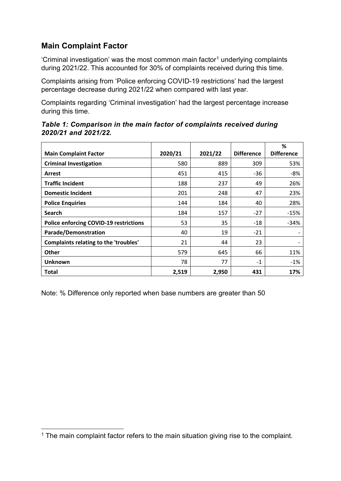### **Main Complaint Factor**

'Criminal investigation' was the most common main factor<sup>[1](#page-2-0)</sup> underlying complaints during 2021/22. This accounted for 30% of complaints received during this time.

Complaints arising from 'Police enforcing COVID-19 restrictions' had the largest percentage decrease during 2021/22 when compared with last year.

Complaints regarding 'Criminal investigation' had the largest percentage increase during this time.

|                                               |         |         |                   | %                 |
|-----------------------------------------------|---------|---------|-------------------|-------------------|
| <b>Main Complaint Factor</b>                  | 2020/21 | 2021/22 | <b>Difference</b> | <b>Difference</b> |
| <b>Criminal Investigation</b>                 | 580     | 889     | 309               | 53%               |
| Arrest                                        | 451     | 415     | -36               | $-8%$             |
| <b>Traffic Incident</b>                       | 188     | 237     | 49                | 26%               |
| <b>Domestic Incident</b>                      | 201     | 248     | 47                | 23%               |
| <b>Police Enquiries</b>                       | 144     | 184     | 40                | 28%               |
| <b>Search</b>                                 | 184     | 157     | $-27$             | $-15%$            |
| <b>Police enforcing COVID-19 restrictions</b> | 53      | 35      | $-18$             | $-34%$            |
| <b>Parade/Demonstration</b>                   | 40      | 19      | $-21$             |                   |
| <b>Complaints relating to the 'troubles'</b>  | 21      | 44      | 23                |                   |
|                                               |         |         |                   |                   |

**Other** 579 645 66 11% **Unknown** 78 77 -1 -1% **Total 2,519 2,950 431 17%**

*Table 1: Comparison in the main factor of complaints received during 2020/21 and 2021/22.*

Note: % Difference only reported when base numbers are greater than 50

<span id="page-2-0"></span>**<sup>.</sup>**  $1$  The main complaint factor refers to the main situation giving rise to the complaint.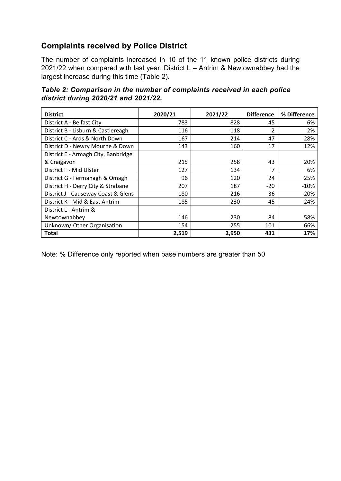### **Complaints received by Police District**

The number of complaints increased in 10 of the 11 known police districts during 2021/22 when compared with last year. District L – Antrim & Newtownabbey had the largest increase during this time (Table 2).

*Table 2: Comparison in the number of complaints received in each police district during 2020/21 and 2021/22.*

| <b>District</b>                     | 2020/21 | 2021/22 | <b>Difference</b> | % Difference |
|-------------------------------------|---------|---------|-------------------|--------------|
| District A - Belfast City           | 783     | 828     | 45                | 6%           |
| District B - Lisburn & Castlereagh  | 116     | 118     | $\mathfrak{p}$    | 2%           |
| District C - Ards & North Down      | 167     | 214     | 47                | 28%          |
| District D - Newry Mourne & Down    | 143     | 160     | 17                | 12%          |
| District E - Armagh City, Banbridge |         |         |                   |              |
| & Craigavon                         | 215     | 258     | 43                | 20%          |
| District F - Mid Ulster             | 127     | 134     | 7                 | 6%           |
| District G - Fermanagh & Omagh      | 96      | 120     | 24                | 25%          |
| District H - Derry City & Strabane  | 207     | 187     | $-20$             | $-10%$       |
| District J - Causeway Coast & Glens | 180     | 216     | 36                | 20%          |
| District K - Mid & East Antrim      | 185     | 230     | 45                | 24%          |
| District L - Antrim &               |         |         |                   |              |
| Newtownabbey                        | 146     | 230     | 84                | 58%          |
| Unknown/Other Organisation          | 154     | 255     | 101               | 66%          |
| Total                               | 2,519   | 2,950   | 431               | 17%          |

Note: % Difference only reported when base numbers are greater than 50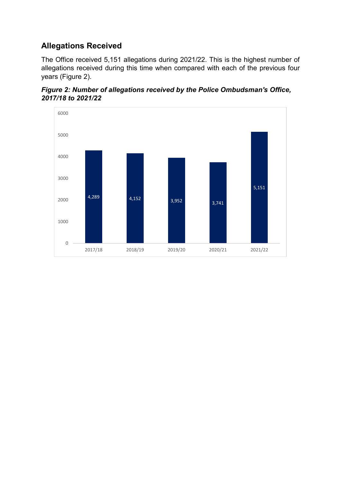### **Allegations Received**

The Office received 5,151 allegations during 2021/22. This is the highest number of allegations received during this time when compared with each of the previous four years (Figure 2).



*Figure 2: Number of allegations received by the Police Ombudsman's Office, 2017/18 to 2021/22*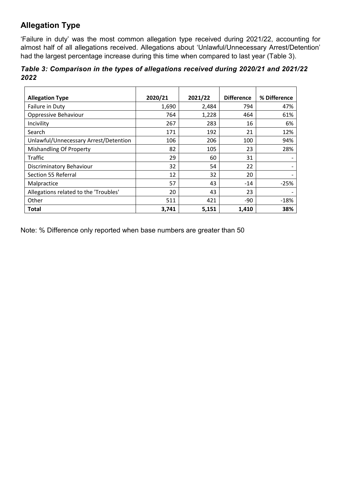## **Allegation Type**

'Failure in duty' was the most common allegation type received during 2021/22, accounting for almost half of all allegations received. Allegations about 'Unlawful/Unnecessary Arrest/Detention' had the largest percentage increase during this time when compared to last year (Table 3).

|      |  | Table 3: Comparison in the types of allegations received during 2020/21 and 2021/22 |  |  |  |
|------|--|-------------------------------------------------------------------------------------|--|--|--|
| 2022 |  |                                                                                     |  |  |  |

| <b>Allegation Type</b>                | 2020/21 | 2021/22 | <b>Difference</b> | % Difference |
|---------------------------------------|---------|---------|-------------------|--------------|
| Failure in Duty                       | 1,690   | 2,484   | 794               | 47%          |
| Oppressive Behaviour                  | 764     | 1,228   | 464               | 61%          |
| Incivility                            | 267     | 283     | 16                | 6%           |
| Search                                | 171     | 192     | 21                | 12%          |
| Unlawful/Unnecessary Arrest/Detention | 106     | 206     | 100               | 94%          |
| <b>Mishandling Of Property</b>        | 82      | 105     | 23                | 28%          |
| Traffic                               | 29      | 60      | 31                |              |
| Discriminatory Behaviour              | 32      | 54      | 22                |              |
| Section 55 Referral                   | 12      | 32      | 20                |              |
| Malpractice                           | 57      | 43      | $-14$             | $-25%$       |
| Allegations related to the 'Troubles' | 20      | 43      | 23                |              |
| Other                                 | 511     | 421     | -90               | $-18%$       |
| Total                                 | 3,741   | 5,151   | 1,410             | 38%          |

Note: % Difference only reported when base numbers are greater than 50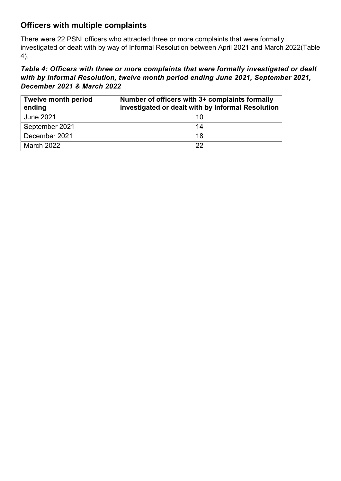## **Officers with multiple complaints**

There were 22 PSNI officers who attracted three or more complaints that were formally investigated or dealt with by way of Informal Resolution between April 2021 and March 2022(Table 4).

#### *Table 4: Officers with three or more complaints that were formally investigated or dealt with by Informal Resolution, twelve month period ending June 2021, September 2021, December 2021 & March 2022*

| <b>Twelve month period</b><br>ending | Number of officers with 3+ complaints formally<br>investigated or dealt with by Informal Resolution |
|--------------------------------------|-----------------------------------------------------------------------------------------------------|
| <b>June 2021</b>                     | 10                                                                                                  |
| September 2021                       | 14                                                                                                  |
| December 2021                        | 18                                                                                                  |
| March 2022                           | 22                                                                                                  |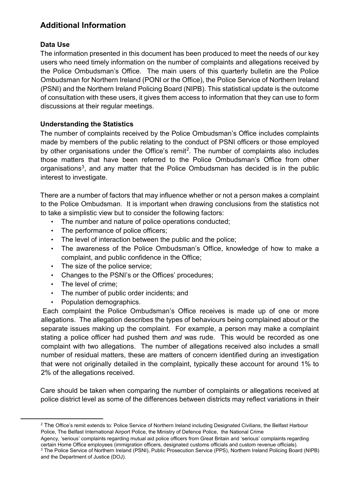## **Additional Information**

#### **Data Use**

The information presented in this document has been produced to meet the needs of our key users who need timely information on the number of complaints and allegations received by the Police Ombudsman's Office. The main users of this quarterly bulletin are the Police Ombudsman for Northern Ireland (PONI or the Office), the Police Service of Northern Ireland (PSNI) and the Northern Ireland Policing Board (NIPB). This statistical update is the outcome of consultation with these users, it gives them access to information that they can use to form discussions at their regular meetings.

#### **Understanding the Statistics**

The number of complaints received by the Police Ombudsman's Office includes complaints made by members of the public relating to the conduct of PSNI officers or those employed by other organisations under the Office's remit<sup>[2](#page-7-0)</sup>. The number of complaints also includes those matters that have been referred to the Police Ombudsman's Office from other organisations<sup>[3](#page-7-1)</sup>, and any matter that the Police Ombudsman has decided is in the public interest to investigate.

There are a number of factors that may influence whether or not a person makes a complaint to the Police Ombudsman. It is important when drawing conclusions from the statistics not to take a simplistic view but to consider the following factors:

- The number and nature of police operations conducted;
- The performance of police officers;
- The level of interaction between the public and the police;
- The awareness of the Police Ombudsman's Office, knowledge of how to make a complaint, and public confidence in the Office;
- The size of the police service;
- Changes to the PSNI's or the Offices' procedures;
- The level of crime;

<span id="page-7-1"></span><span id="page-7-0"></span>**.** 

- The number of public order incidents; and
- Population demographics.

Each complaint the Police Ombudsman's Office receives is made up of one or more allegations. The allegation describes the types of behaviours being complained about or the separate issues making up the complaint. For example, a person may make a complaint stating a police officer had pushed them *and* was rude. This would be recorded as one complaint with two allegations. The number of allegations received also includes a small number of residual matters, these are matters of concern identified during an investigation that were not originally detailed in the complaint, typically these account for around 1% to 2% of the allegations received.

Care should be taken when comparing the number of complaints or allegations received at police district level as some of the differences between districts may reflect variations in their

<sup>&</sup>lt;sup>2</sup> The Office's remit extends to: Police Service of Northern Ireland including Designated Civilians, the Belfast Harbour Police, The Belfast International Airport Police, the Ministry of Defence Police, the National Crime

Agency, 'serious' complaints regarding mutual aid police officers from Great Britain and 'serious' complaints regarding<br>certain Home Office employees (immigration officers, designated customs officials and custom revenue o <sup>3</sup> The Police Service of Northern Ireland (PSNI), Public Prosecution Service (PPS), Northern Ireland Policing Board (NIPB) and the Department of Justice (DOJ).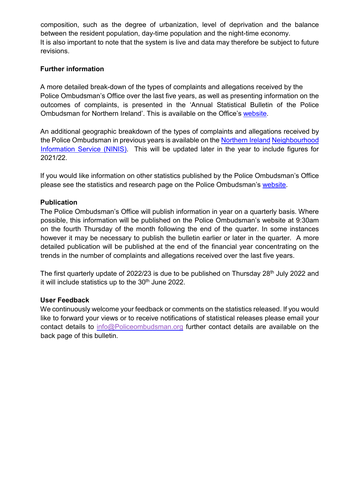composition, such as the degree of urbanization, level of deprivation and the balance between the resident population, day-time population and the night-time economy. It is also important to note that the system is live and data may therefore be subject to future revisions.

#### **Further information**

A more detailed break-down of the types of complaints and allegations received by the Police Ombudsman's Office over the last five years, as well as presenting information on the outcomes of complaints, is presented in the 'Annual Statistical Bulletin of the Police Ombudsman for Northern Ireland'. This is available on the Office's [website.](http://www.policeombudsman.org/)

An additional geographic breakdown of the types of complaints and allegations received by the Police Ombudsman in previous years is available on the [Northern Ireland](http://www.ninis2.nisra.gov.uk/) Neighbourhood [Information Service \(NINIS\).](http://www.ninis2.nisra.gov.uk/) This will be updated later in the year to include figures for 2021/22.

If you would like information on other statistics published by the Police Ombudsman's Office please see the statistics and research page on the Police Ombudsman's [website.](http://www.policeombudsman.org/statistics-and-research)

#### **Publication**

The Police Ombudsman's Office will publish information in year on a quarterly basis. Where possible, this information will be published on the Police Ombudsman's website at 9:30am on the fourth Thursday of the month following the end of the quarter. In some instances however it may be necessary to publish the bulletin earlier or later in the quarter. A more detailed publication will be published at the end of the financial year concentrating on the trends in the number of complaints and allegations received over the last five years.

The first quarterly update of 2022/23 is due to be published on Thursday 28<sup>th</sup> July 2022 and it will include statistics up to the 30<sup>th</sup> June 2022.

#### **User Feedback**

We continuously welcome your feedback or comments on the statistics released. If you would like to forward your views or to receive notifications of statistical releases please email your contact details to [info@Policeombudsman.org](mailto:info@Policeombudsman.org) further contact details are available on the back page of this bulletin.